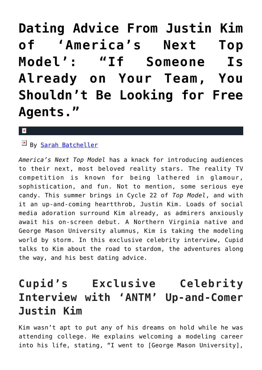**[Dating Advice From Justin Kim](https://cupidspulse.com/97400/dating-advice-justin-kim/) [of 'America's Next Top](https://cupidspulse.com/97400/dating-advice-justin-kim/) [Model': "If Someone Is](https://cupidspulse.com/97400/dating-advice-justin-kim/) [Already on Your Team, You](https://cupidspulse.com/97400/dating-advice-justin-kim/) [Shouldn't Be Looking for Free](https://cupidspulse.com/97400/dating-advice-justin-kim/) [Agents."](https://cupidspulse.com/97400/dating-advice-justin-kim/)**

#### $\mathbf{x}$

By [Sarah Batcheller](http://cupidspulse.com/104594/sarah-batcheller/)

*America's Next Top Model* has a knack for introducing audiences to their next, most beloved reality stars. The reality TV competition is known for being lathered in glamour, sophistication, and fun. Not to mention, some serious eye candy. This summer brings in Cycle 22 of *Top Model*, and with it an up-and-coming heartthrob, Justin Kim. Loads of social media adoration surround Kim already, as admirers anxiously await his on-screen debut. A Northern Virginia native and George Mason University alumnus, Kim is taking the modeling world by storm. In this exclusive celebrity interview, Cupid talks to Kim about the road to stardom, the adventures along the way, and his best dating advice.

## **Cupid's Exclusive Celebrity Interview with 'ANTM' Up-and-Comer Justin Kim**

Kim wasn't apt to put any of his dreams on hold while he was attending college. He explains welcoming a modeling career into his life, stating, "I went to [George Mason University],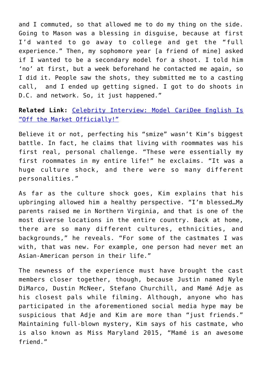and I commuted, so that allowed me to do my thing on the side. Going to Mason was a blessing in disguise, because at first I'd wanted to go away to college and get the "full experience." Then, my sophomore year [a friend of mine] asked if I wanted to be a secondary model for a shoot. I told him 'no' at first, but a week beforehand he contacted me again, so I did it. People saw the shots, they submitted me to a casting call, and I ended up getting signed. I got to do shoots in D.C. and network. So, it just happened."

### **Related Link:** [Celebrity Interview: Model CariDee English Is](http://cupidspulse.com/85961/celebrity-interview-caridee-english-shares-dating-advice/) ["Off the Market Officially!"](http://cupidspulse.com/85961/celebrity-interview-caridee-english-shares-dating-advice/)

Believe it or not, perfecting his "smize" wasn't Kim's biggest battle. In fact, he claims that living with roommates was his first real, personal challenge. "These were essentially my first roommates in my entire life!" he exclaims. "It was a huge culture shock, and there were so many different personalities."

As far as the culture shock goes, Kim explains that his upbringing allowed him a healthy perspective. "I'm blessed…My parents raised me in Northern Virginia, and that is one of the most diverse locations in the entire country. Back at home, there are so many different cultures, ethnicities, and backgrounds," he reveals. "For some of the castmates I was with, that was new. For example, one person had never met an Asian-American person in their life."

The newness of the experience must have brought the cast members closer together, though, because Justin named Nyle DiMarco, Dustin McNeer, Stefano Churchill, and Mamé Adje as his closest pals while filming. Although, anyone who has participated in the aforementioned social media hype may be suspicious that Adje and Kim are more than "just friends." Maintaining full-blown mystery, Kim says of his castmate, who is also known as Miss Maryland 2015, "Mamé is an awesome friend."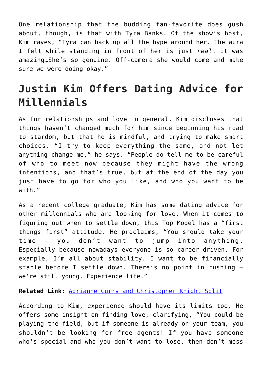One relationship that the budding fan-favorite does gush about, though, is that with Tyra Banks. Of the show's host, Kim raves, "Tyra can back up all the hype around her. The aura I felt while standing in front of her is just *real*. It was amazing…She's so genuine. Off-camera she would come and make sure we were doing okay."

## **Justin Kim Offers Dating Advice for Millennials**

As for relationships and love in general, Kim discloses that things haven't changed much for him since beginning his road to stardom, but that he is mindful, and trying to make smart choices. "I try to keep everything the same, and not let anything change me," he says. "People do tell me to be careful of who to meet now because they might have the wrong intentions, and that's true, but at the end of the day you just have to go for who you like, and who you want to be with."

As a recent college graduate, Kim has some dating advice for other millennials who are looking for love. When it comes to figuring out when to settle down, this Top Model has a "first things first" attitude. He proclaims, "You should take your time – you don't want to jump into anything. Especially because nowadays everyone is so career-driven. For example, I'm all about stability. I want to be financially stable before I settle down. There's no point in rushing – we're still young. Experience life."

#### **Related Link:** [Adrianne Curry and Christopher Knight Split](http://cupidspulse.com/15682/adrianne-curry-and-christopher-knight-split/)

According to Kim, experience should have its limits too. He offers some insight on finding love, clarifying, "You could be playing the field, but if someone is already on your team, you shouldn't be looking for free agents! If you have someone who's special and who you don't want to lose, then don't mess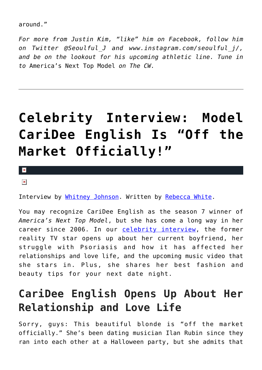around."

*For more from Justin Kim, "like" him on Facebook, follow him on Twitter @Seoulful\_J and www.instagram.com/seoulful\_j/, and be on the lookout for his upcoming athletic line. Tune in to* America's Next Top Model *on The CW.*

# **[Celebrity Interview: Model](https://cupidspulse.com/85961/celebrity-interview-caridee-english-shares-dating-advice/) [CariDee English Is "Off the](https://cupidspulse.com/85961/celebrity-interview-caridee-english-shares-dating-advice/) [Market Officially!"](https://cupidspulse.com/85961/celebrity-interview-caridee-english-shares-dating-advice/)**

 $\pmb{\times}$ 

 $\pmb{\times}$ 

Interview by [Whitney Johnson](http://cupidspulse.com/104601/whitney-johnson/). Written by [Rebecca White](http://cupidspulse.com/104603/rebecca-white/).

You may recognize CariDee English as the season 7 winner of *America's Next Top Model*, but she has come a long way in her career since 2006. In our [celebrity interview](http://cupidspulse.com/exclusives/celebrity-interviews/), the former reality TV star opens up about her current boyfriend, her struggle with Psoriasis and how it has affected her relationships and love life, and the upcoming music video that she stars in. Plus, she shares her best fashion and beauty tips for your next date night.

## **CariDee English Opens Up About Her Relationship and Love Life**

Sorry, guys: This beautiful blonde is "off the market officially." She's been dating musician Ilan Rubin since they ran into each other at a Halloween party, but she admits that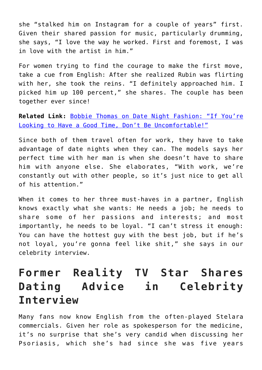she "stalked him on Instagram for a couple of years" first. Given their shared passion for music, particularly drumming, she says, "I love the way he worked. First and foremost, I was in love with the artist in him."

For women trying to find the courage to make the first move, take a cue from English: After she realized Rubin was flirting with her, she took the reins. "I definitely approached him. I picked him up 100 percent," she shares. The couple has been together ever since!

**Related Link:** [Bobbie Thomas on Date Night Fashion: "If You're](http://cupidspulse.com/81675/bobbie-thomas-date-night-fall-fashion/) [Looking to Have a Good Time, Don't Be Uncomfortable!"](http://cupidspulse.com/81675/bobbie-thomas-date-night-fall-fashion/)

Since both of them travel often for work, they have to take advantage of date nights when they can. The models says her perfect time with her man is when she doesn't have to share him with anyone else. She elaborates, "With work, we're constantly out with other people, so it's just nice to get all of his attention."

When it comes to her three must-haves in a partner, English knows exactly what she wants: He needs a job; he needs to share some of her passions and interests; and most importantly, he needs to be loyal. "I can't stress it enough: You can have the hottest guy with the best job, but if he's not loyal, you're gonna feel like shit," she says in our celebrity interview.

## **Former Reality TV Star Shares Dating Advice in Celebrity Interview**

Many fans now know English from the often-played Stelara commercials. Given her role as spokesperson for the medicine, it's no surprise that she's very candid when discussing her Psoriasis, which she's had since she was five years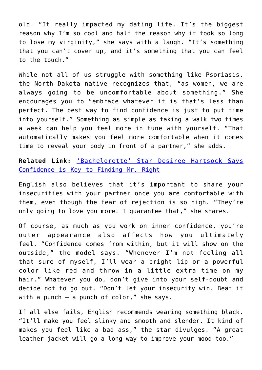old. "It really impacted my dating life. It's the biggest reason why I'm so cool and half the reason why it took so long to lose my virginity," she says with a laugh. "It's something that you can't cover up, and it's something that you can feel to the touch."

While not all of us struggle with something like Psoriasis, the North Dakota native recognizes that, "as women, we are always going to be uncomfortable about something." She encourages you to "embrace whatever it is that's less than perfect. The best way to find confidence is just to put time into yourself." Something as simple as taking a walk two times a week can help you feel more in tune with yourself. "That automatically makes you feel more comfortable when it comes time to reveal your body in front of a partner," she adds.

**Related Link:** ['Bachelorette' Star Desiree Hartsock Says](http://cupidspulse.com/69340/desiree-hartsock-bachelorette-confidence-wedding/) [Confidence is Key to Finding Mr. Right](http://cupidspulse.com/69340/desiree-hartsock-bachelorette-confidence-wedding/)

English also believes that it's important to share your insecurities with your partner once you are comfortable with them, even though the fear of rejection is so high. "They're only going to love you more. I guarantee that," she shares.

Of course, as much as you work on inner confidence, you're outer appearance also affects how you ultimately feel. "Confidence comes from within, but it will show on the outside," the model says. "Whenever I'm not feeling all that sure of myself, I'll wear a bright lip or a powerful color like red and throw in a little extra time on my hair." Whatever you do, don't give into your self-doubt and decide not to go out. "Don't let your insecurity win. Beat it with a punch  $-$  a punch of color," she says.

If all else fails, English recommends wearing something black. "It'll make you feel slinky and smooth and slender. It kind of makes you feel like a bad ass," the star divulges. "A great leather jacket will go a long way to improve your mood too."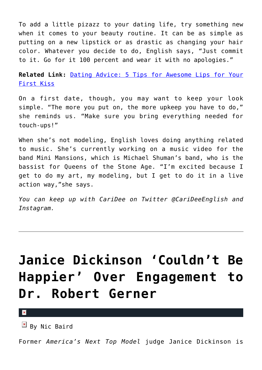To add a little pizazz to your dating life, try something new when it comes to your beauty routine. It can be as simple as putting on a new lipstick or as drastic as changing your hair color. Whatever you decide to do, English says, "Just commit to it. Go for it 100 percent and wear it with no apologies."

**Related Link:** [Dating Advice: 5 Tips for Awesome Lips for Your](http://cupidspulse.com/34478/first-kiss-lips-lip-care-tips/) [First Kiss](http://cupidspulse.com/34478/first-kiss-lips-lip-care-tips/)

On a first date, though, you may want to keep your look simple. "The more you put on, the more upkeep you have to do," she reminds us. "Make sure you bring everything needed for touch-ups!"

When she's not modeling, English loves doing anything related to music. She's currently working on a music video for the band Mini Mansions, which is Michael Shuman's band, who is the bassist for Queens of the Stone Age. "I'm excited because I get to do my art, my modeling, but I get to do it in a live action way,"she says.

*You can keep up with CariDee on Twitter @CariDeeEnglish and Instagram.*

# **[Janice Dickinson 'Couldn't Be](https://cupidspulse.com/42847/janice-dickinson-engaged-robert-gerner/) [Happier' Over Engagement to](https://cupidspulse.com/42847/janice-dickinson-engaged-robert-gerner/) [Dr. Robert Gerner](https://cupidspulse.com/42847/janice-dickinson-engaged-robert-gerner/)**

 $\pmb{\times}$ 

 $\mathbb{F}$  By Nic Baird

Former *America's Next Top Model* judge Janice Dickinson is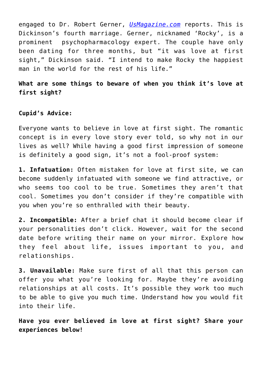engaged to Dr. Robert Gerner, *[UsMagazine.com](http://www.usmagazine.com/celebrity-news/news/janice-dickinson-couldnt-be-happier-over-engagement-to-dr-robert-gerner-20121612)* reports. This is Dickinson's fourth marriage. Gerner, nicknamed 'Rocky', is a prominent psychopharmacology expert. The couple have only been dating for three months, but "it was love at first sight," Dickinson said. "I intend to make Rocky the happiest man in the world for the rest of his life."

**What are some things to beware of when you think it's love at first sight?**

#### **Cupid's Advice:**

Everyone wants to believe in love at first sight. The romantic concept is in every love story ever told, so why not in our lives as well? While having a good first impression of someone is definitely a good sign, it's not a fool-proof system:

**1. Infatuation:** Often mistaken for love at first site, we can become suddenly infatuated with someone we find attractive, or who seems too cool to be true. Sometimes they aren't that cool. Sometimes you don't consider if they're compatible with you when you're so enthralled with their beauty.

**2. Incompatible:** After a brief chat it should become clear if your personalities don't click. However, wait for the second date before writing their name on your mirror. Explore how they feel about life, issues important to you, and relationships.

**3. Unavailable:** Make sure first of all that this person can offer you what you're looking for. Maybe they're avoiding relationships at all costs. It's possible they work too much to be able to give you much time. Understand how you would fit into their life.

**Have you ever believed in love at first sight? Share your experiences below!**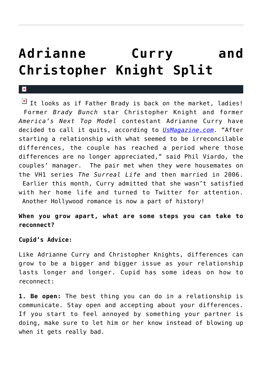# **[Adrianne Curry and](https://cupidspulse.com/15682/adrianne-curry-and-christopher-knight-split/) [Christopher Knight Split](https://cupidspulse.com/15682/adrianne-curry-and-christopher-knight-split/)**

It looks as if Father Brady is back on the market, ladies! Former *Brady Bunch* star Christopher Knight and former *America's Next Top Model* contestant Adrianne Curry have decided to call it quits, according to *[UsMagazine.com](http://www.usmagazine.com/celebritynews/news/report-adrianne-curry-and-christopher-knight-split-2011295).* "After starting a relationship with what seemed to be irreconcilable differences, the couple has reached a period where those differences are no longer appreciated," said Phil Viardo, the couples' manager. The pair met when they were housemates on the VH1 series *The Surreal Life* and then married in 2006. Earlier this month, Curry admitted that she wasn't satisfied with her home life and turned to Twitter for attention. Another Hollywood romance is now a part of history!

### **When you grow apart, what are some steps you can take to reconnect?**

#### **Cupid's Advice:**

 $\vert \mathbf{x} \vert$ 

Like Adrianne Curry and Christopher Knights, differences can grow to be a bigger and bigger issue as your relationship lasts longer and longer. Cupid has some ideas on how to reconnect:

**1. Be open:** The best thing you can do in a relationship is communicate. Stay open and accepting about your differences. If you start to feel annoyed by something your partner is doing, make sure to let him or her know instead of blowing up when it gets really bad.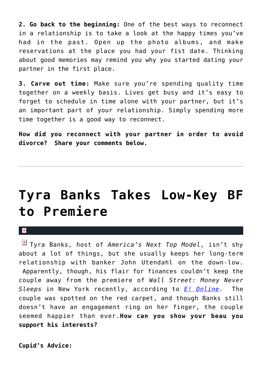**2. Go back to the beginning:** One of the best ways to reconnect in a relationship is to take a look at the happy times you've had in the past. Open up the photo albums, and make reservations at the place you had your fist date. Thinking about good memories may remind you why you started dating your partner in the first place.

**3. Carve out time:** Make sure you're spending quality time together on a weekly basis. Lives get busy and it's easy to forget to schedule in time alone with your partner, but it's an important part of your relationship. Simply spending more time together is a good way to reconnect.

**How did you reconnect with your partner in order to avoid divorce? Share your comments below.**

## **[Tyra Banks Takes Low-Key BF](https://cupidspulse.com/4735/tyra-banks-takes-low-key-bf-to-premiere/) [to Premiere](https://cupidspulse.com/4735/tyra-banks-takes-low-key-bf-to-premiere/)**

 $\mathbf{R}$ 

Tyra Banks, host of *America's Next Top Model*, isn't shy about a lot of things, but she usually keeps her long-term relationship with banker John Utendahl on the down-low. Apparently, though, his flair for finances couldn't keep the couple away from the premiere of *Wall Street: Money Never Sleeps* in New York recently, according to *[E! Online](http://www.eonline.com/uberblog/hwood_party_girl/b201583_tyra_banks_takes_stealth_boyfriend.html).* The couple was spotted on the red carpet, and though Banks still doesn't have an engagement ring on her finger, the couple seemed happier than ever.**How can you show your beau you support his interests?**

**Cupid's Advice:**